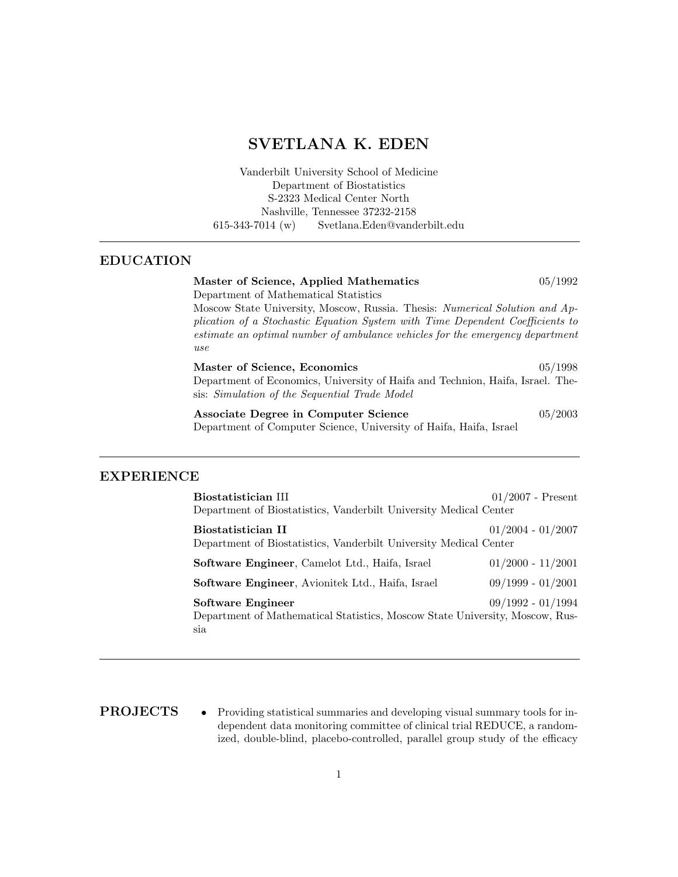# SVETLANA K. EDEN

Vanderbilt University School of Medicine Department of Biostatistics S-2323 Medical Center North Nashville, Tennessee 37232-2158 615-343-7014 (w) Svetlana.Eden@vanderbilt.edu

### EDUCATION

Master of Science, Applied Mathematics 05/1992 Department of Mathematical Statistics Moscow State University, Moscow, Russia. Thesis: Numerical Solution and Application of a Stochastic Equation System with Time Dependent Coefficients to estimate an optimal number of ambulance vehicles for the emergency department use Master of Science, Economics 05/1998 Department of Economics, University of Haifa and Technion, Haifa, Israel. Thesis: Simulation of the Sequential Trade Model Associate Degree in Computer Science 05/2003 Department of Computer Science, University of Haifa, Haifa, Israel

### EXPERIENCE

| Biostatistician III<br>Department of Biostatistics, Vanderbilt University Medical Center             | $01/2007$ - Present |  |
|------------------------------------------------------------------------------------------------------|---------------------|--|
| Biostatistician II                                                                                   | $01/2004 - 01/2007$ |  |
| Department of Biostatistics, Vanderbilt University Medical Center                                    |                     |  |
| <b>Software Engineer, Camelot Ltd., Haifa, Israel</b>                                                | $01/2000 - 11/2001$ |  |
| <b>Software Engineer</b> , Avionitek Ltd., Haifa, Israel                                             | $09/1999 - 01/2001$ |  |
| Software Engineer                                                                                    | $09/1992 - 01/1994$ |  |
| Department of Mathematical Statistics, Moscow State University, Moscow, Rus-<br>$s$ <sub>1</sub> $a$ |                     |  |
|                                                                                                      |                     |  |

**PROJECTS** • Providing statistical summaries and developing visual summary tools for independent data monitoring committee of clinical trial REDUCE, a randomized, double-blind, placebo-controlled, parallel group study of the efficacy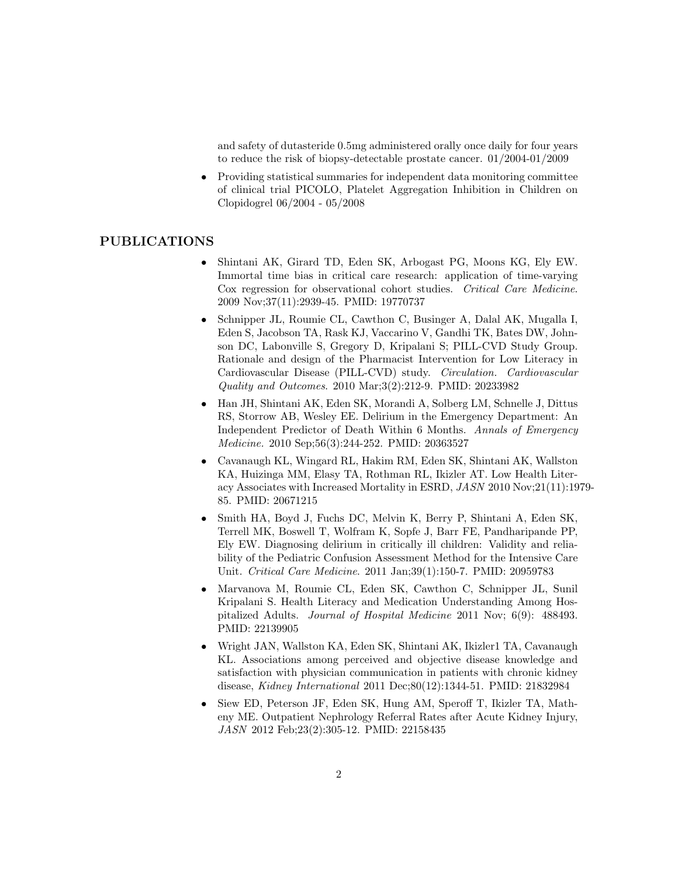and safety of dutasteride 0.5mg administered orally once daily for four years to reduce the risk of biopsy-detectable prostate cancer. 01/2004-01/2009

• Providing statistical summaries for independent data monitoring committee of clinical trial PICOLO, Platelet Aggregation Inhibition in Children on Clopidogrel 06/2004 - 05/2008

#### PUBLICATIONS

- Shintani AK, Girard TD, Eden SK, Arbogast PG, Moons KG, Ely EW. Immortal time bias in critical care research: application of time-varying Cox regression for observational cohort studies. Critical Care Medicine. 2009 Nov;37(11):2939-45. PMID: 19770737
- Schnipper JL, Roumie CL, Cawthon C, Businger A, Dalal AK, Mugalla I, Eden S, Jacobson TA, Rask KJ, Vaccarino V, Gandhi TK, Bates DW, Johnson DC, Labonville S, Gregory D, Kripalani S; PILL-CVD Study Group. Rationale and design of the Pharmacist Intervention for Low Literacy in Cardiovascular Disease (PILL-CVD) study. Circulation. Cardiovascular Quality and Outcomes. 2010 Mar;3(2):212-9. PMID: 20233982
- Han JH, Shintani AK, Eden SK, Morandi A, Solberg LM, Schnelle J, Dittus RS, Storrow AB, Wesley EE. Delirium in the Emergency Department: An Independent Predictor of Death Within 6 Months. Annals of Emergency Medicine. 2010 Sep;56(3):244-252. PMID: 20363527
- Cavanaugh KL, Wingard RL, Hakim RM, Eden SK, Shintani AK, Wallston KA, Huizinga MM, Elasy TA, Rothman RL, Ikizler AT. Low Health Literacy Associates with Increased Mortality in ESRD, JASN 2010 Nov;21(11):1979- 85. PMID: 20671215
- Smith HA, Boyd J, Fuchs DC, Melvin K, Berry P, Shintani A, Eden SK, Terrell MK, Boswell T, Wolfram K, Sopfe J, Barr FE, Pandharipande PP, Ely EW. Diagnosing delirium in critically ill children: Validity and reliability of the Pediatric Confusion Assessment Method for the Intensive Care Unit. Critical Care Medicine. 2011 Jan;39(1):150-7. PMID: 20959783
- Marvanova M, Roumie CL, Eden SK, Cawthon C, Schnipper JL, Sunil Kripalani S. Health Literacy and Medication Understanding Among Hospitalized Adults. Journal of Hospital Medicine 2011 Nov; 6(9): 488493. PMID: 22139905
- Wright JAN, Wallston KA, Eden SK, Shintani AK, Ikizler1 TA, Cavanaugh KL. Associations among perceived and objective disease knowledge and satisfaction with physician communication in patients with chronic kidney disease, Kidney International 2011 Dec;80(12):1344-51. PMID: 21832984
- Siew ED, Peterson JF, Eden SK, Hung AM, Speroff T, Ikizler TA, Matheny ME. Outpatient Nephrology Referral Rates after Acute Kidney Injury, JASN 2012 Feb;23(2):305-12. PMID: 22158435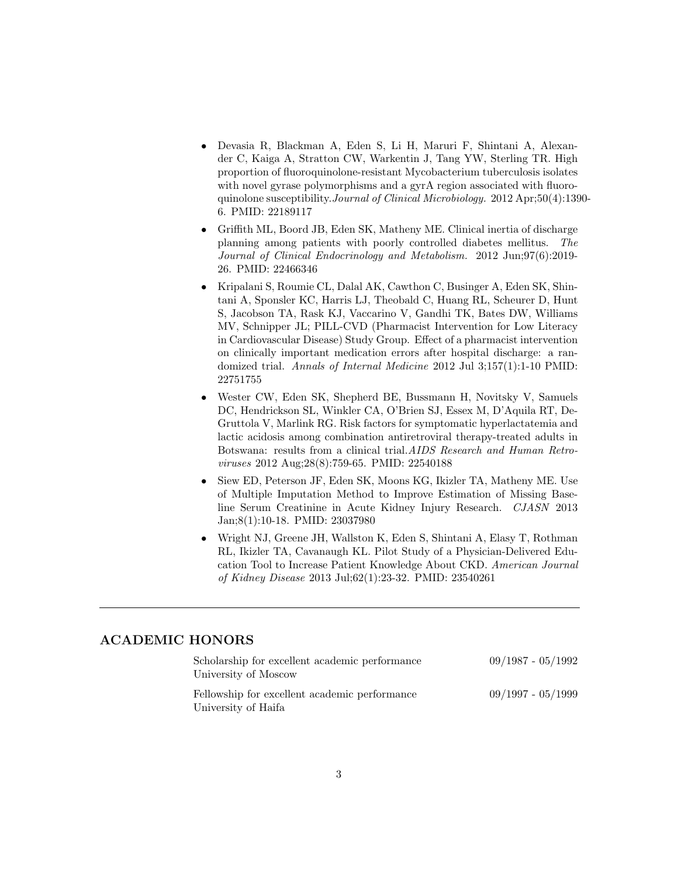- Devasia R, Blackman A, Eden S, Li H, Maruri F, Shintani A, Alexander C, Kaiga A, Stratton CW, Warkentin J, Tang YW, Sterling TR. High proportion of fluoroquinolone-resistant Mycobacterium tuberculosis isolates with novel gyrase polymorphisms and a gyrA region associated with fluoroquinolone susceptibility.Journal of Clinical Microbiology. 2012 Apr;50(4):1390- 6. PMID: 22189117
- Griffith ML, Boord JB, Eden SK, Matheny ME. Clinical inertia of discharge planning among patients with poorly controlled diabetes mellitus. The Journal of Clinical Endocrinology and Metabolism. 2012 Jun;97(6):2019- 26. PMID: 22466346
- Kripalani S, Roumie CL, Dalal AK, Cawthon C, Businger A, Eden SK, Shintani A, Sponsler KC, Harris LJ, Theobald C, Huang RL, Scheurer D, Hunt S, Jacobson TA, Rask KJ, Vaccarino V, Gandhi TK, Bates DW, Williams MV, Schnipper JL; PILL-CVD (Pharmacist Intervention for Low Literacy in Cardiovascular Disease) Study Group. Effect of a pharmacist intervention on clinically important medication errors after hospital discharge: a randomized trial. Annals of Internal Medicine 2012 Jul 3;157(1):1-10 PMID: 22751755
- Wester CW, Eden SK, Shepherd BE, Bussmann H, Novitsky V, Samuels DC, Hendrickson SL, Winkler CA, O'Brien SJ, Essex M, D'Aquila RT, De-Gruttola V, Marlink RG. Risk factors for symptomatic hyperlactatemia and lactic acidosis among combination antiretroviral therapy-treated adults in Botswana: results from a clinical trial.AIDS Research and Human Retroviruses 2012 Aug;28(8):759-65. PMID: 22540188
- Siew ED, Peterson JF, Eden SK, Moons KG, Ikizler TA, Matheny ME. Use of Multiple Imputation Method to Improve Estimation of Missing Baseline Serum Creatinine in Acute Kidney Injury Research. CJASN 2013 Jan;8(1):10-18. PMID: 23037980
- Wright NJ, Greene JH, Wallston K, Eden S, Shintani A, Elasy T, Rothman RL, Ikizler TA, Cavanaugh KL. Pilot Study of a Physician-Delivered Education Tool to Increase Patient Knowledge About CKD. American Journal of Kidney Disease 2013 Jul;62(1):23-32. PMID: 23540261

## ACADEMIC HONORS

| Scholarship for excellent academic performance<br>University of Moscow | $09/1987 - 05/1992$ |
|------------------------------------------------------------------------|---------------------|
| Fellowship for excellent academic performance<br>University of Haifa   | $09/1997 - 05/1999$ |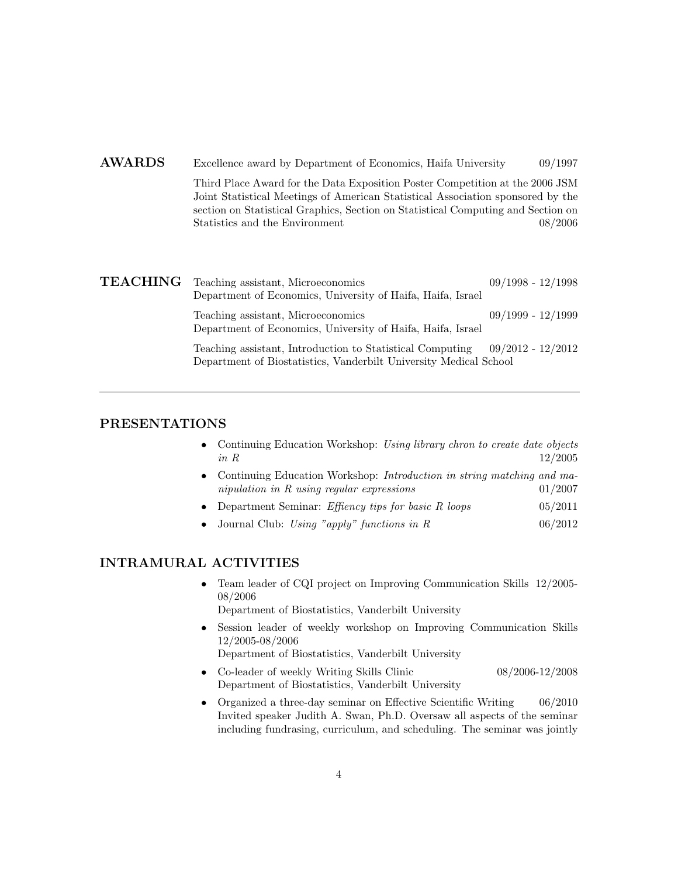## AWARDS Excellence award by Department of Economics, Haifa University 09/1997

Third Place Award for the Data Exposition Poster Competition at the 2006 JSM Joint Statistical Meetings of American Statistical Association sponsored by the section on Statistical Graphics, Section on Statistical Computing and Section on Statistics and the Environment 08/2006

| <b>TEACHING</b> Teaching assistant, Microeconomics<br>Department of Economics, University of Haifa, Haifa, Israel              | $09/1998 - 12/1998$ |
|--------------------------------------------------------------------------------------------------------------------------------|---------------------|
| Teaching assistant, Microeconomics<br>Department of Economics, University of Haifa, Haifa, Israel                              | $09/1999 - 12/1999$ |
| Teaching assistant, Introduction to Statistical Computing<br>Department of Biostatistics, Vanderbilt University Medical School | $09/2012 - 12/2012$ |

## PRESENTATIONS

- Continuing Education Workshop: Using library chron to create date objects  $in \, R$  12/2005
- Continuing Education Workshop: Introduction in string matching and manipulation in R using regular expressions  $01/2007$
- Department Seminar: *Effiency tips for basic R loops*  $05/2011$
- Journal Club: Using "apply" functions in  $R$  06/2012

## INTRAMURAL ACTIVITIES

• Team leader of CQI project on Improving Communication Skills 12/2005- 08/2006

Department of Biostatistics, Vanderbilt University

- Session leader of weekly workshop on Improving Communication Skills 12/2005-08/2006
	- Department of Biostatistics, Vanderbilt University
- Co-leader of weekly Writing Skills Clinic 08/2006-12/2008 Department of Biostatistics, Vanderbilt University
- Organized a three-day seminar on Effective Scientific Writing 06/2010 Invited speaker Judith A. Swan, Ph.D. Oversaw all aspects of the seminar including fundrasing, curriculum, and scheduling. The seminar was jointly